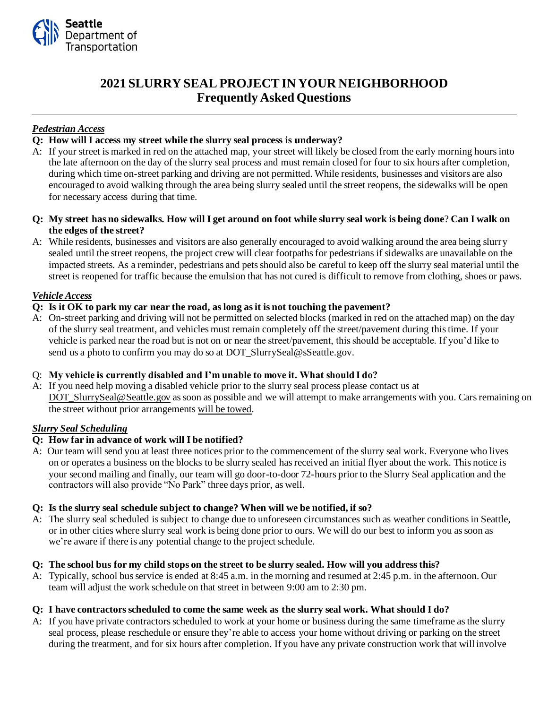

# **2021 SLURRY SEALPROJECTIN YOUR NEIGHBORHOOD Frequently Asked Questions**

# *Pedestrian Access*

# **Q: How will I access my street while the slurry seal process is underway?**

- A: If your street is marked in red on the attached map, your street will likely be closed from the early morning hours into the late afternoon on the day of the slurry seal process and must remain closed for four to six hours after completion*,*  during which time on-street parking and driving are not permitted. While residents, businesses and visitors are also encouraged to avoid walking through the area being slurry sealed until the street reopens, the sidewalks will be open for necessary access during that time.
- **Q: My street has no sidewalks. How will I get around on foot while slurry seal work is being done**? **Can I walk on the edges of the street?**
- A: While residents, businesses and visitors are also generally encouraged to avoid walking around the area being slurry sealed until the street reopens*,* the project crew will clear footpaths for pedestrians if sidewalks are unavailable on the impacted streets. As a reminder, pedestrians and pets should also be careful to keep off the slurry seal material until the street is reopened for traffic because the emulsion that has not cured is difficult to remove from clothing, shoes or paws.

# *Vehicle Access*

### **Q: Is it OK to park my car near the road, as long as it is not touching the pavement?**

A: On-street parking and driving will not be permitted on selected blocks (marked in red on the attached map) on the day of the slurry seal treatment, and vehicles must remain completely off the street/pavement during this time. If your vehicle is parked near the road but is not on or near the street/pavement, this should be acceptable. If you'd like to send us a photo to confirm you may do so at DOT\_SlurrySeal@sSeattle.gov.

#### Q: **My vehicle is currently disabled and I'm unable to move it. What should I do?**

A: If you need help moving a disabled vehicle prior to the slurry seal process please contact us at DOT\_SlurrySeal@Seattle.gov as soon as possible and we will attempt to make arrangements with you. Cars remaining on the street without prior arrangements will be towed.

# *Slurry Seal Scheduling*

# **Q: How far in advance of work will I be notified?**

A: Our team will send you at least three notices prior to the commencement of the slurry seal work. Everyone who lives on or operates a business on the blocks to be slurry sealed has received an initial flyer about the work. This notice is your second mailing and finally, our team will go door-to-door 72-hours prior to the Slurry Seal application and the contractors will also provide "No Park" three days prior, as well.

#### **Q: Is the slurry seal schedule subject to change? When will we be notified, if so?**

A: The slurry seal scheduled is subject to change due to unforeseen circumstances such as weather conditions in Seattle, or in other cities where slurry seal work is being done prior to ours. We will do our best to inform you as soon as we're aware if there is any potential change to the project schedule.

#### **Q: The school bus for my child stops on the street to be slurry sealed. How will you address this?**

A: Typically, school bus service is ended at 8:45 a.m. in the morning and resumed at 2:45 p.m. in the afternoon. Our team will adjust the work schedule on that street in between 9:00 am to 2:30 pm.

#### **Q: I have contractors scheduled to come the same week as the slurry seal work. What should I do?**

A: If you have private contractors scheduled to work at your home or business during the same timeframe as the slurry seal process, please reschedule or ensure they're able to access your home without driving or parking on the street during the treatment, and for six hours after completion. If you have any private construction work that will involve